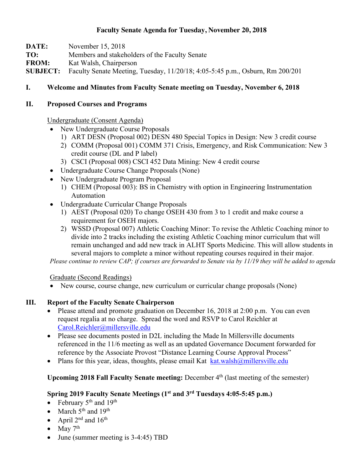## **Faculty Senate Agenda for Tuesday, November 20, 2018**

- **DATE:** November 15, 2018
- **TO:** Members and stakeholders of the Faculty Senate
- **FROM:** Kat Walsh, Chairperson

**SUBJECT:** Faculty Senate Meeting, Tuesday, 11/20/18; 4:05-5:45 p.m., Osburn, Rm 200/201

## **I. Welcome and Minutes from Faculty Senate meeting on Tuesday, November 6, 2018**

### **II. Proposed Courses and Programs**

### Undergraduate (Consent Agenda)

- New Undergraduate Course Proposals
	- 1) ART DESN (Proposal 002) DESN 480 Special Topics in Design: New 3 credit course
	- 2) COMM (Proposal 001) COMM 371 Crisis, Emergency, and Risk Communication: New 3 credit course (DL and P label)
	- 3) CSCI (Proposal 008) CSCI 452 Data Mining: New 4 credit course
- Undergraduate Course Change Proposals (None)
- New Undergraduate Program Proposal
	- 1) CHEM (Proposal 003): BS in Chemistry with option in Engineering Instrumentation Automation
- Undergraduate Curricular Change Proposals
	- 1) AEST (Proposal 020) To change OSEH 430 from 3 to 1 credit and make course a requirement for OSEH majors.
	- 2) WSSD (Proposal 007) Athletic Coaching Minor: To revise the Athletic Coaching minor to divide into 2 tracks including the existing Athletic Coaching minor curriculum that will remain unchanged and add new track in ALHT Sports Medicine. This will allow students in several majors to complete a minor without repeating courses required in their major.

*Please continue to review CAP; if courses are forwarded to Senate via by 11/19 they will be added to agenda*

Graduate (Second Readings)

• New course, course change, new curriculum or curricular change proposals (None)

## **III. Report of the Faculty Senate Chairperson**

- Please attend and promote graduation on December 16, 2018 at 2:00 p.m. You can even request regalia at no charge. Spread the word and RSVP to Carol Reichler at Carol.Reichler@millersville.edu
- Please see documents posted in D2L including the Made In Millersville documents referenced in the 11/6 meeting as well as an updated Governance Document forwarded for reference by the Associate Provost "Distance Learning Course Approval Process"
- Plans for this year, ideas, thoughts, please email Kat  $k$ at.walsh $@$ millersville.edu

# **Upcoming 2018 Fall Faculty Senate meeting:** December 4th (last meeting of the semester)

## **Spring 2019 Faculty Senate Meetings (1st and 3rd Tuesdays 4:05-5:45 p.m.)**

- February  $5<sup>th</sup>$  and  $19<sup>th</sup>$
- March  $5<sup>th</sup>$  and  $19<sup>th</sup>$
- April  $2^{nd}$  and  $16^{th}$
- May  $7<sup>th</sup>$
- June (summer meeting is 3-4:45) TBD